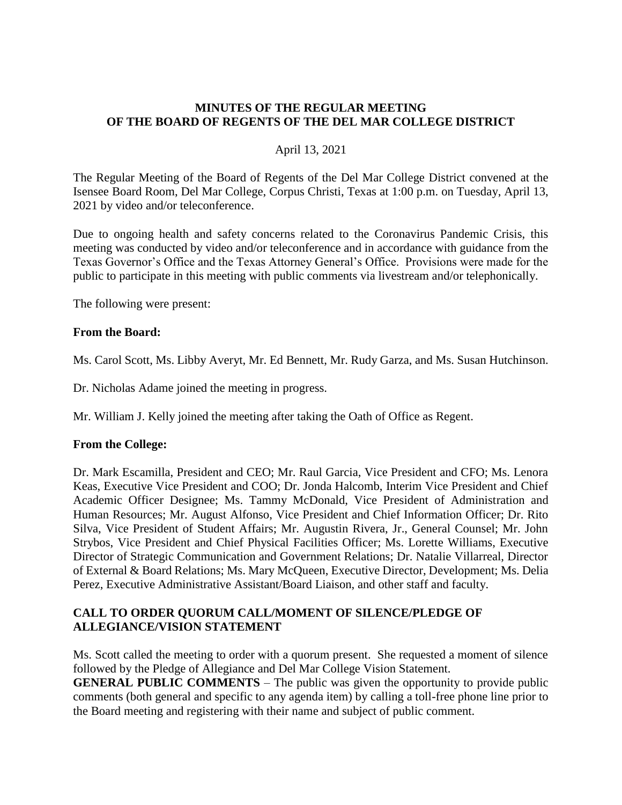#### **MINUTES OF THE REGULAR MEETING OF THE BOARD OF REGENTS OF THE DEL MAR COLLEGE DISTRICT**

#### April 13, 2021

The Regular Meeting of the Board of Regents of the Del Mar College District convened at the Isensee Board Room, Del Mar College, Corpus Christi, Texas at 1:00 p.m. on Tuesday, April 13, 2021 by video and/or teleconference.

Due to ongoing health and safety concerns related to the Coronavirus Pandemic Crisis, this meeting was conducted by video and/or teleconference and in accordance with guidance from the Texas Governor's Office and the Texas Attorney General's Office. Provisions were made for the public to participate in this meeting with public comments via livestream and/or telephonically.

The following were present:

#### **From the Board:**

Ms. Carol Scott, Ms. Libby Averyt, Mr. Ed Bennett, Mr. Rudy Garza, and Ms. Susan Hutchinson.

Dr. Nicholas Adame joined the meeting in progress.

Mr. William J. Kelly joined the meeting after taking the Oath of Office as Regent.

#### **From the College:**

Dr. Mark Escamilla, President and CEO; Mr. Raul Garcia, Vice President and CFO; Ms. Lenora Keas, Executive Vice President and COO; Dr. Jonda Halcomb, Interim Vice President and Chief Academic Officer Designee; Ms. Tammy McDonald, Vice President of Administration and Human Resources; Mr. August Alfonso, Vice President and Chief Information Officer; Dr. Rito Silva, Vice President of Student Affairs; Mr. Augustin Rivera, Jr., General Counsel; Mr. John Strybos, Vice President and Chief Physical Facilities Officer; Ms. Lorette Williams, Executive Director of Strategic Communication and Government Relations; Dr. Natalie Villarreal, Director of External & Board Relations; Ms. Mary McQueen, Executive Director, Development; Ms. Delia Perez, Executive Administrative Assistant/Board Liaison, and other staff and faculty.

#### **CALL TO ORDER QUORUM CALL/MOMENT OF SILENCE/PLEDGE OF ALLEGIANCE/VISION STATEMENT**

Ms. Scott called the meeting to order with a quorum present. She requested a moment of silence followed by the Pledge of Allegiance and Del Mar College Vision Statement.

**GENERAL PUBLIC COMMENTS** – The public was given the opportunity to provide public comments (both general and specific to any agenda item) by calling a toll-free phone line prior to the Board meeting and registering with their name and subject of public comment.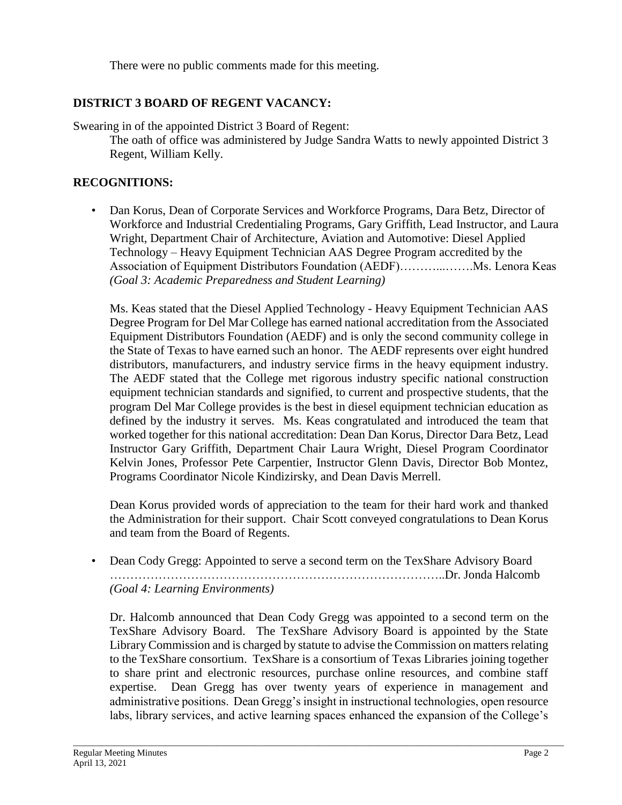There were no public comments made for this meeting.

# **DISTRICT 3 BOARD OF REGENT VACANCY:**

Swearing in of the appointed District 3 Board of Regent:

The oath of office was administered by Judge Sandra Watts to newly appointed District 3 Regent, William Kelly.

# **RECOGNITIONS:**

• Dan Korus, Dean of Corporate Services and Workforce Programs, Dara Betz, Director of Workforce and Industrial Credentialing Programs, Gary Griffith, Lead Instructor, and Laura Wright, Department Chair of Architecture, Aviation and Automotive: Diesel Applied Technology – Heavy Equipment Technician AAS Degree Program accredited by the Association of Equipment Distributors Foundation (AEDF)………...…….Ms. Lenora Keas *(Goal 3: Academic Preparedness and Student Learning)*

Ms. Keas stated that the Diesel Applied Technology - Heavy Equipment Technician AAS Degree Program for Del Mar College has earned national accreditation from the Associated Equipment Distributors Foundation (AEDF) and is only the second community college in the State of Texas to have earned such an honor. The AEDF represents over eight hundred distributors, manufacturers, and industry service firms in the heavy equipment industry. The AEDF stated that the College met rigorous industry specific national construction equipment technician standards and signified, to current and prospective students, that the program Del Mar College provides is the best in diesel equipment technician education as defined by the industry it serves. Ms. Keas congratulated and introduced the team that worked together for this national accreditation: Dean Dan Korus, Director Dara Betz, Lead Instructor Gary Griffith, Department Chair Laura Wright, Diesel Program Coordinator Kelvin Jones, Professor Pete Carpentier, Instructor Glenn Davis, Director Bob Montez, Programs Coordinator Nicole Kindizirsky, and Dean Davis Merrell.

Dean Korus provided words of appreciation to the team for their hard work and thanked the Administration for their support. Chair Scott conveyed congratulations to Dean Korus and team from the Board of Regents.

• Dean Cody Gregg: Appointed to serve a second term on the TexShare Advisory Board ………………………………………………………………………..Dr. Jonda Halcomb *(Goal 4: Learning Environments)*

Dr. Halcomb announced that Dean Cody Gregg was appointed to a second term on the TexShare Advisory Board. The TexShare Advisory Board is appointed by the State Library Commission and is charged by statute to advise the Commission on matters relating to the TexShare consortium. TexShare is a consortium of Texas Libraries joining together to share print and electronic resources, purchase online resources, and combine staff expertise. Dean Gregg has over twenty years of experience in management and administrative positions. Dean Gregg's insight in instructional technologies, open resource labs, library services, and active learning spaces enhanced the expansion of the College's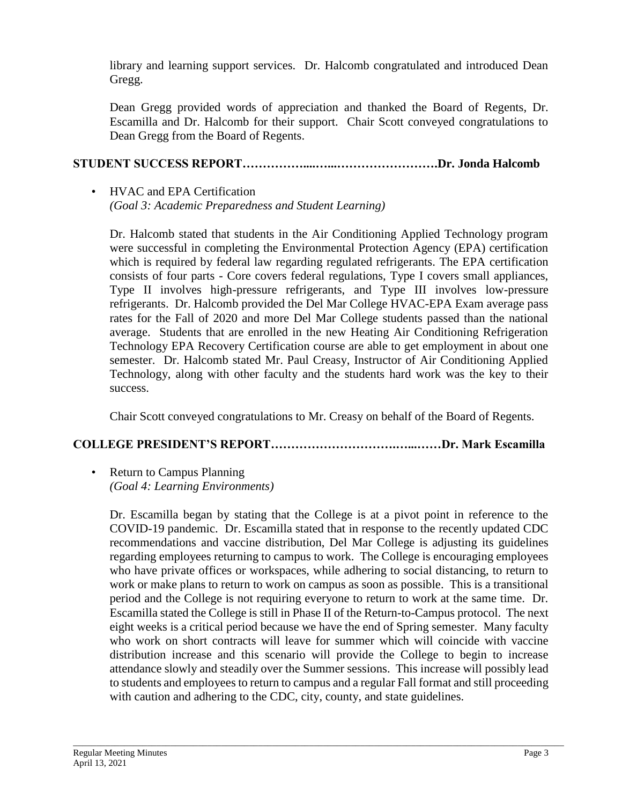library and learning support services. Dr. Halcomb congratulated and introduced Dean Gregg.

Dean Gregg provided words of appreciation and thanked the Board of Regents, Dr. Escamilla and Dr. Halcomb for their support. Chair Scott conveyed congratulations to Dean Gregg from the Board of Regents.

# **STUDENT SUCCESS REPORT……………....…...…………………….Dr. Jonda Halcomb**

### • HVAC and EPA Certification *(Goal 3: Academic Preparedness and Student Learning)*

Dr. Halcomb stated that students in the Air Conditioning Applied Technology program were successful in completing the Environmental Protection Agency (EPA) certification which is required by federal law regarding regulated refrigerants. The EPA certification consists of four parts - Core covers federal regulations, Type I covers small appliances, Type II involves high-pressure refrigerants, and Type III involves low-pressure refrigerants. Dr. Halcomb provided the Del Mar College HVAC-EPA Exam average pass rates for the Fall of 2020 and more Del Mar College students passed than the national average. Students that are enrolled in the new Heating Air Conditioning Refrigeration Technology EPA Recovery Certification course are able to get employment in about one semester. Dr. Halcomb stated Mr. Paul Creasy, Instructor of Air Conditioning Applied Technology, along with other faculty and the students hard work was the key to their success.

Chair Scott conveyed congratulations to Mr. Creasy on behalf of the Board of Regents.

## **COLLEGE PRESIDENT'S REPORT………………………….…...……Dr. Mark Escamilla**

• Return to Campus Planning *(Goal 4: Learning Environments)*

Dr. Escamilla began by stating that the College is at a pivot point in reference to the COVID-19 pandemic. Dr. Escamilla stated that in response to the recently updated CDC recommendations and vaccine distribution, Del Mar College is adjusting its guidelines regarding employees returning to campus to work. The College is encouraging employees who have private offices or workspaces, while adhering to social distancing, to return to work or make plans to return to work on campus as soon as possible. This is a transitional period and the College is not requiring everyone to return to work at the same time. Dr. Escamilla stated the College is still in Phase II of the Return-to-Campus protocol. The next eight weeks is a critical period because we have the end of Spring semester. Many faculty who work on short contracts will leave for summer which will coincide with vaccine distribution increase and this scenario will provide the College to begin to increase attendance slowly and steadily over the Summer sessions. This increase will possibly lead to students and employees to return to campus and a regular Fall format and still proceeding with caution and adhering to the CDC, city, county, and state guidelines.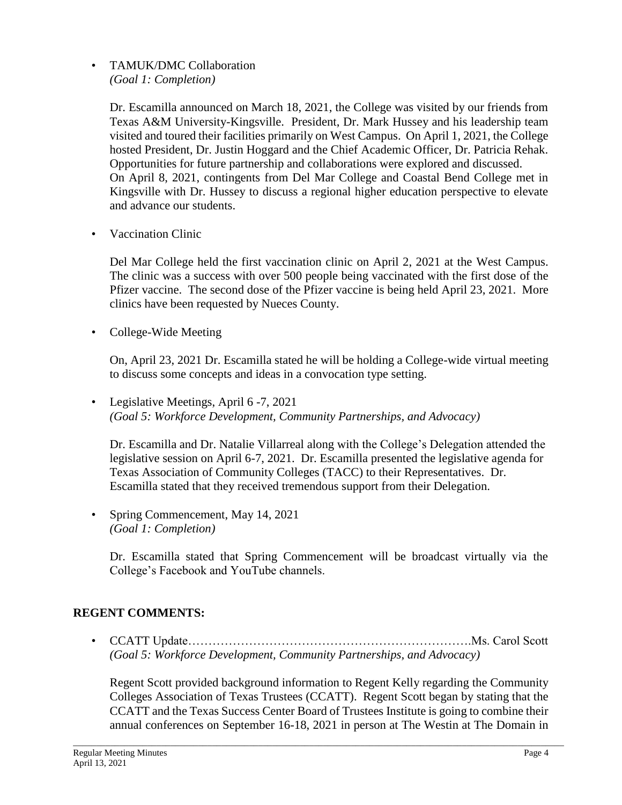• TAMUK/DMC Collaboration *(Goal 1: Completion)*

> Dr. Escamilla announced on March 18, 2021, the College was visited by our friends from Texas A&M University-Kingsville. President, Dr. Mark Hussey and his leadership team visited and toured their facilities primarily on West Campus. On April 1, 2021, the College hosted President, Dr. Justin Hoggard and the Chief Academic Officer, Dr. Patricia Rehak. Opportunities for future partnership and collaborations were explored and discussed. On April 8, 2021, contingents from Del Mar College and Coastal Bend College met in Kingsville with Dr. Hussey to discuss a regional higher education perspective to elevate and advance our students.

• Vaccination Clinic

Del Mar College held the first vaccination clinic on April 2, 2021 at the West Campus. The clinic was a success with over 500 people being vaccinated with the first dose of the Pfizer vaccine. The second dose of the Pfizer vaccine is being held April 23, 2021. More clinics have been requested by Nueces County.

• College-Wide Meeting

On, April 23, 2021 Dr. Escamilla stated he will be holding a College-wide virtual meeting to discuss some concepts and ideas in a convocation type setting.

• Legislative Meetings, April 6 -7, 2021 *(Goal 5: Workforce Development, Community Partnerships, and Advocacy)*

Dr. Escamilla and Dr. Natalie Villarreal along with the College's Delegation attended the legislative session on April 6-7, 2021. Dr. Escamilla presented the legislative agenda for Texas Association of Community Colleges (TACC) to their Representatives. Dr. Escamilla stated that they received tremendous support from their Delegation.

• Spring Commencement, May 14, 2021 *(Goal 1: Completion)*

Dr. Escamilla stated that Spring Commencement will be broadcast virtually via the College's Facebook and YouTube channels.

## **REGENT COMMENTS:**

• CCATT Update…………………………………………………………….Ms. Carol Scott *(Goal 5: Workforce Development, Community Partnerships, and Advocacy)*

Regent Scott provided background information to Regent Kelly regarding the Community Colleges Association of Texas Trustees (CCATT). Regent Scott began by stating that the CCATT and the Texas Success Center Board of Trustees Institute is going to combine their annual conferences on September 16-18, 2021 in person at The Westin at The Domain in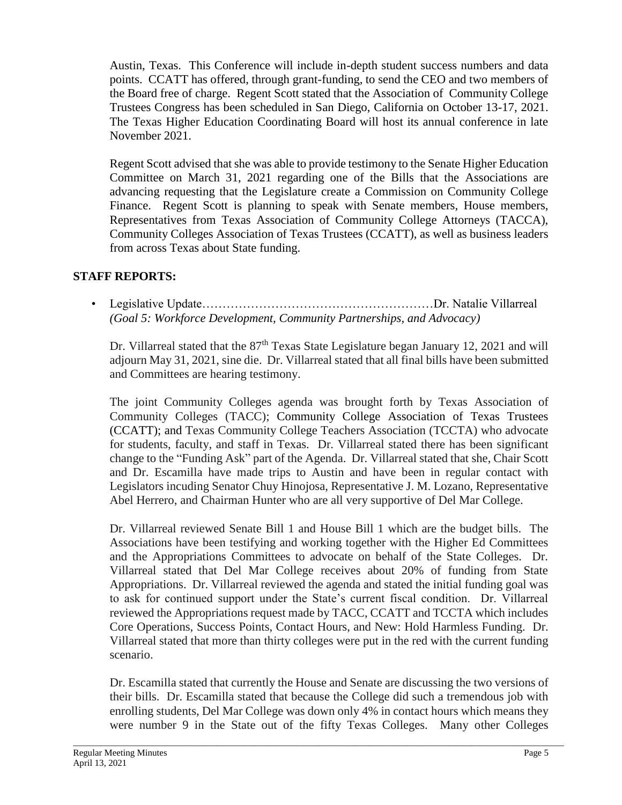Austin, Texas. This Conference will include in-depth student success numbers and data points. CCATT has offered, through grant-funding, to send the CEO and two members of the Board free of charge. Regent Scott stated that the Association of Community College Trustees Congress has been scheduled in San Diego, California on October 13-17, 2021. The Texas Higher Education Coordinating Board will host its annual conference in late November 2021.

Regent Scott advised that she was able to provide testimony to the Senate Higher Education Committee on March 31, 2021 regarding one of the Bills that the Associations are advancing requesting that the Legislature create a Commission on Community College Finance. Regent Scott is planning to speak with Senate members, House members, Representatives from Texas Association of Community College Attorneys (TACCA), Community Colleges Association of Texas Trustees (CCATT), as well as business leaders from across Texas about State funding.

## **STAFF REPORTS:**

• Legislative Update…………………………………………………Dr. Natalie Villarreal *(Goal 5: Workforce Development, Community Partnerships, and Advocacy)*

Dr. Villarreal stated that the  $87<sup>th</sup>$  Texas State Legislature began January 12, 2021 and will adjourn May 31, 2021, sine die. Dr. Villarreal stated that all final bills have been submitted and Committees are hearing testimony.

The joint Community Colleges agenda was brought forth by Texas Association of Community Colleges (TACC); Community College Association of Texas Trustees (CCATT); and Texas Community College Teachers Association (TCCTA) who advocate for students, faculty, and staff in Texas. Dr. Villarreal stated there has been significant change to the "Funding Ask" part of the Agenda. Dr. Villarreal stated that she, Chair Scott and Dr. Escamilla have made trips to Austin and have been in regular contact with Legislators incuding Senator Chuy Hinojosa, Representative J. M. Lozano, Representative Abel Herrero, and Chairman Hunter who are all very supportive of Del Mar College.

Dr. Villarreal reviewed Senate Bill 1 and House Bill 1 which are the budget bills. The Associations have been testifying and working together with the Higher Ed Committees and the Appropriations Committees to advocate on behalf of the State Colleges. Dr. Villarreal stated that Del Mar College receives about 20% of funding from State Appropriations. Dr. Villarreal reviewed the agenda and stated the initial funding goal was to ask for continued support under the State's current fiscal condition. Dr. Villarreal reviewed the Appropriations request made by TACC, CCATT and TCCTA which includes Core Operations, Success Points, Contact Hours, and New: Hold Harmless Funding. Dr. Villarreal stated that more than thirty colleges were put in the red with the current funding scenario.

Dr. Escamilla stated that currently the House and Senate are discussing the two versions of their bills. Dr. Escamilla stated that because the College did such a tremendous job with enrolling students, Del Mar College was down only 4% in contact hours which means they were number 9 in the State out of the fifty Texas Colleges. Many other Colleges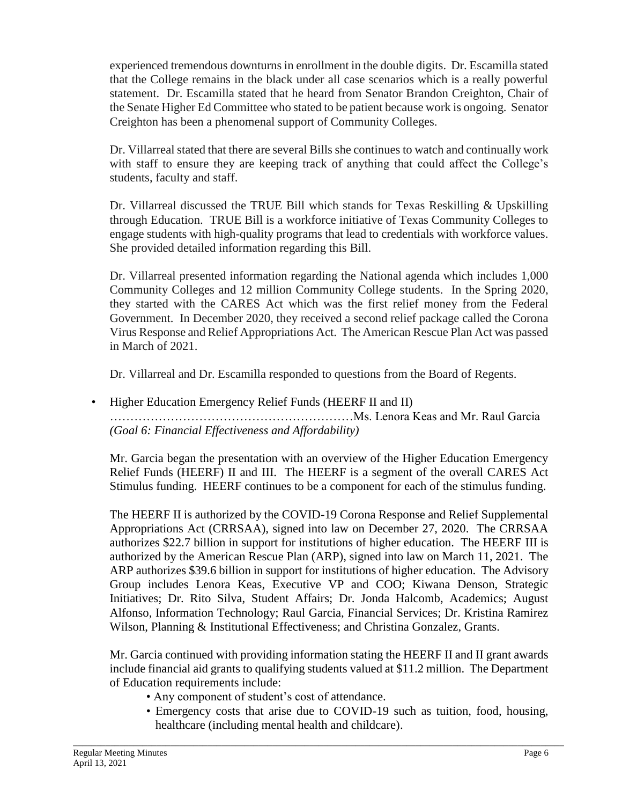experienced tremendous downturns in enrollment in the double digits. Dr. Escamilla stated that the College remains in the black under all case scenarios which is a really powerful statement. Dr. Escamilla stated that he heard from Senator Brandon Creighton, Chair of the Senate Higher Ed Committee who stated to be patient because work is ongoing. Senator Creighton has been a phenomenal support of Community Colleges.

Dr. Villarreal stated that there are several Bills she continues to watch and continually work with staff to ensure they are keeping track of anything that could affect the College's students, faculty and staff.

Dr. Villarreal discussed the TRUE Bill which stands for Texas Reskilling & Upskilling through Education. TRUE Bill is a workforce initiative of Texas Community Colleges to engage students with high-quality programs that lead to credentials with workforce values. She provided detailed information regarding this Bill.

Dr. Villarreal presented information regarding the National agenda which includes 1,000 Community Colleges and 12 million Community College students. In the Spring 2020, they started with the CARES Act which was the first relief money from the Federal Government. In December 2020, they received a second relief package called the Corona Virus Response and Relief Appropriations Act. The American Rescue Plan Act was passed in March of 2021.

Dr. Villarreal and Dr. Escamilla responded to questions from the Board of Regents.

• Higher Education Emergency Relief Funds (HEERF II and II) ……………………………………………………Ms. Lenora Keas and Mr. Raul Garcia *(Goal 6: Financial Effectiveness and Affordability)*

Mr. Garcia began the presentation with an overview of the Higher Education Emergency Relief Funds (HEERF) II and III. The HEERF is a segment of the overall CARES Act Stimulus funding. HEERF continues to be a component for each of the stimulus funding.

The HEERF II is authorized by the COVID-19 Corona Response and Relief Supplemental Appropriations Act (CRRSAA), signed into law on December 27, 2020. The CRRSAA authorizes \$22.7 billion in support for institutions of higher education. The HEERF III is authorized by the American Rescue Plan (ARP), signed into law on March 11, 2021. The ARP authorizes \$39.6 billion in support for institutions of higher education. The Advisory Group includes Lenora Keas, Executive VP and COO; Kiwana Denson, Strategic Initiatives; Dr. Rito Silva, Student Affairs; Dr. Jonda Halcomb, Academics; August Alfonso, Information Technology; Raul Garcia, Financial Services; Dr. Kristina Ramirez Wilson, Planning & Institutional Effectiveness; and Christina Gonzalez, Grants.

Mr. Garcia continued with providing information stating the HEERF II and II grant awards include financial aid grants to qualifying students valued at \$11.2 million. The Department of Education requirements include:

- Any component of student's cost of attendance.
- Emergency costs that arise due to COVID-19 such as tuition, food, housing, healthcare (including mental health and childcare).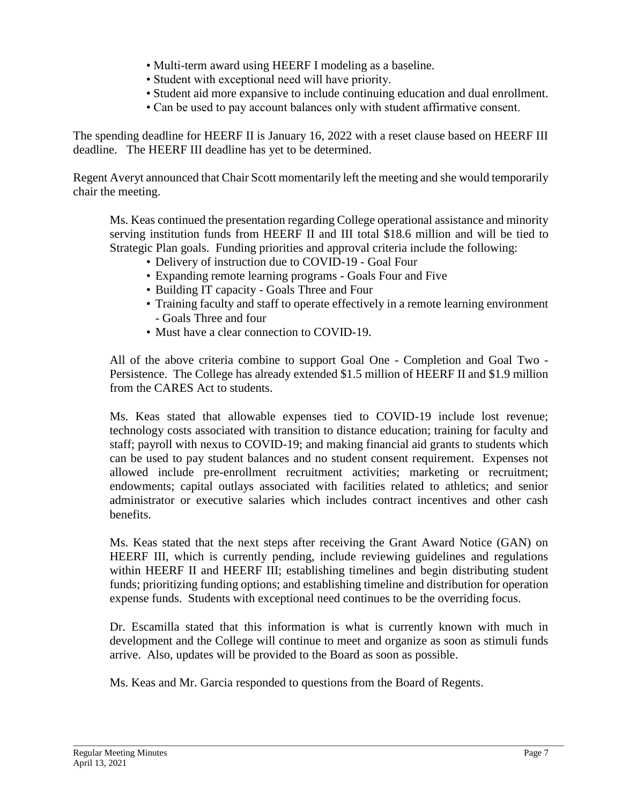- Multi-term award using HEERF I modeling as a baseline.
- Student with exceptional need will have priority.
- Student aid more expansive to include continuing education and dual enrollment.
- Can be used to pay account balances only with student affirmative consent.

The spending deadline for HEERF II is January 16, 2022 with a reset clause based on HEERF III deadline. The HEERF III deadline has yet to be determined.

Regent Averyt announced that Chair Scott momentarily left the meeting and she would temporarily chair the meeting.

Ms. Keas continued the presentation regarding College operational assistance and minority serving institution funds from HEERF II and III total \$18.6 million and will be tied to Strategic Plan goals. Funding priorities and approval criteria include the following:

- Delivery of instruction due to COVID-19 Goal Four
- Expanding remote learning programs Goals Four and Five
- Building IT capacity Goals Three and Four
- Training faculty and staff to operate effectively in a remote learning environment - Goals Three and four
- Must have a clear connection to COVID-19.

All of the above criteria combine to support Goal One - Completion and Goal Two - Persistence. The College has already extended \$1.5 million of HEERF II and \$1.9 million from the CARES Act to students.

Ms. Keas stated that allowable expenses tied to COVID-19 include lost revenue; technology costs associated with transition to distance education; training for faculty and staff; payroll with nexus to COVID-19; and making financial aid grants to students which can be used to pay student balances and no student consent requirement. Expenses not allowed include pre-enrollment recruitment activities; marketing or recruitment; endowments; capital outlays associated with facilities related to athletics; and senior administrator or executive salaries which includes contract incentives and other cash benefits.

Ms. Keas stated that the next steps after receiving the Grant Award Notice (GAN) on HEERF III, which is currently pending, include reviewing guidelines and regulations within HEERF II and HEERF III; establishing timelines and begin distributing student funds; prioritizing funding options; and establishing timeline and distribution for operation expense funds. Students with exceptional need continues to be the overriding focus.

Dr. Escamilla stated that this information is what is currently known with much in development and the College will continue to meet and organize as soon as stimuli funds arrive. Also, updates will be provided to the Board as soon as possible.

\_\_\_\_\_\_\_\_\_\_\_\_\_\_\_\_\_\_\_\_\_\_\_\_\_\_\_\_\_\_\_\_\_\_\_\_\_\_\_\_\_\_\_\_\_\_\_\_\_\_\_\_\_\_\_\_\_\_\_\_\_\_\_\_\_\_\_\_\_\_\_\_\_\_\_\_\_\_\_\_\_\_\_\_\_\_\_\_\_\_\_\_\_\_\_\_\_\_\_\_\_\_\_\_\_\_

Ms. Keas and Mr. Garcia responded to questions from the Board of Regents.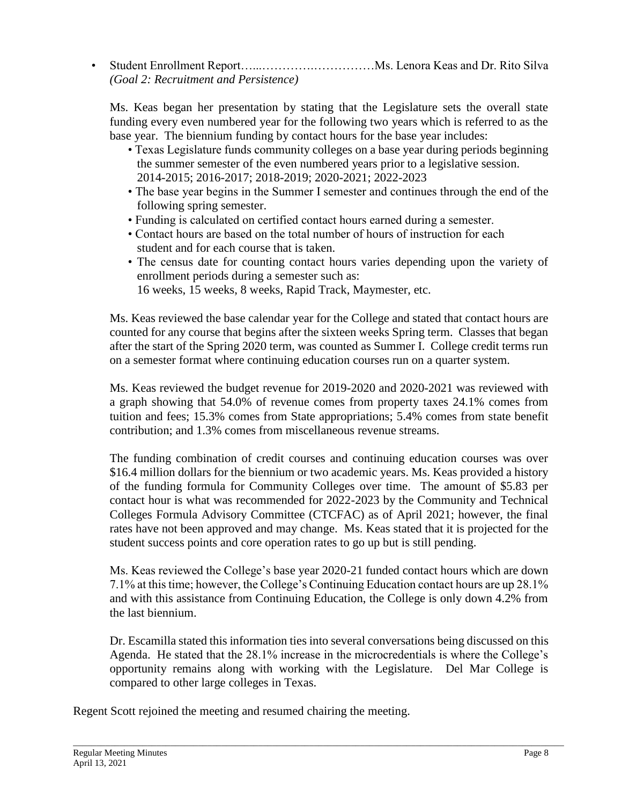• Student Enrollment Report…...………….……………Ms. Lenora Keas and Dr. Rito Silva *(Goal 2: Recruitment and Persistence)*

Ms. Keas began her presentation by stating that the Legislature sets the overall state funding every even numbered year for the following two years which is referred to as the base year. The biennium funding by contact hours for the base year includes:

- Texas Legislature funds community colleges on a base year during periods beginning the summer semester of the even numbered years prior to a legislative session. 2014-2015; 2016-2017; 2018-2019; 2020-2021; 2022-2023
- The base year begins in the Summer I semester and continues through the end of the following spring semester.
- Funding is calculated on certified contact hours earned during a semester.
- Contact hours are based on the total number of hours of instruction for each student and for each course that is taken.
- The census date for counting contact hours varies depending upon the variety of enrollment periods during a semester such as:

16 weeks, 15 weeks, 8 weeks, Rapid Track, Maymester, etc.

Ms. Keas reviewed the base calendar year for the College and stated that contact hours are counted for any course that begins after the sixteen weeks Spring term. Classes that began after the start of the Spring 2020 term, was counted as Summer I. College credit terms run on a semester format where continuing education courses run on a quarter system.

Ms. Keas reviewed the budget revenue for 2019-2020 and 2020-2021 was reviewed with a graph showing that 54.0% of revenue comes from property taxes 24.1% comes from tuition and fees; 15.3% comes from State appropriations; 5.4% comes from state benefit contribution; and 1.3% comes from miscellaneous revenue streams.

The funding combination of credit courses and continuing education courses was over \$16.4 million dollars for the biennium or two academic years. Ms. Keas provided a history of the funding formula for Community Colleges over time. The amount of \$5.83 per contact hour is what was recommended for 2022-2023 by the Community and Technical Colleges Formula Advisory Committee (CTCFAC) as of April 2021; however, the final rates have not been approved and may change. Ms. Keas stated that it is projected for the student success points and core operation rates to go up but is still pending.

Ms. Keas reviewed the College's base year 2020-21 funded contact hours which are down 7.1% at this time; however, the College's Continuing Education contact hours are up 28.1% and with this assistance from Continuing Education, the College is only down 4.2% from the last biennium.

Dr. Escamilla stated this information ties into several conversations being discussed on this Agenda. He stated that the 28.1% increase in the microcredentials is where the College's opportunity remains along with working with the Legislature. Del Mar College is compared to other large colleges in Texas.

Regent Scott rejoined the meeting and resumed chairing the meeting.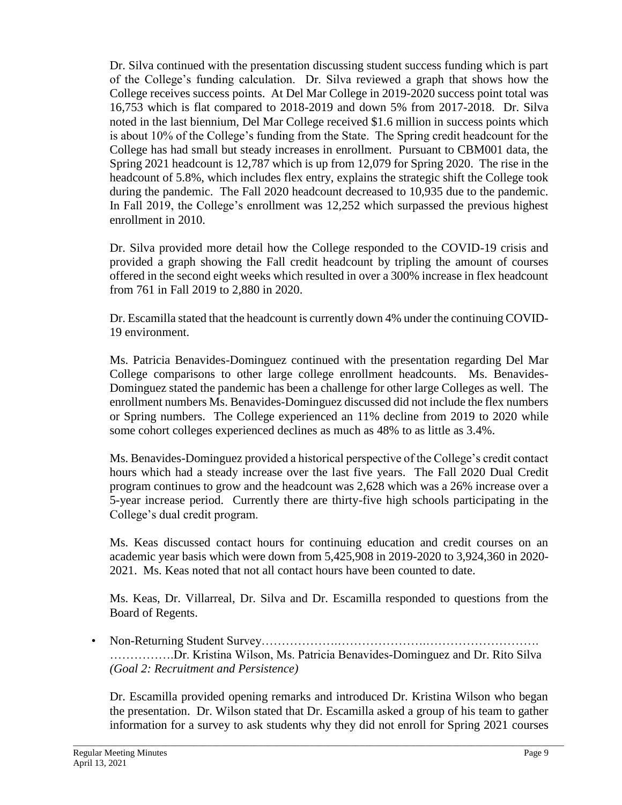Dr. Silva continued with the presentation discussing student success funding which is part of the College's funding calculation. Dr. Silva reviewed a graph that shows how the College receives success points. At Del Mar College in 2019-2020 success point total was 16,753 which is flat compared to 2018-2019 and down 5% from 2017-2018. Dr. Silva noted in the last biennium, Del Mar College received \$1.6 million in success points which is about 10% of the College's funding from the State. The Spring credit headcount for the College has had small but steady increases in enrollment. Pursuant to CBM001 data, the Spring 2021 headcount is 12,787 which is up from 12,079 for Spring 2020. The rise in the headcount of 5.8%, which includes flex entry, explains the strategic shift the College took during the pandemic. The Fall 2020 headcount decreased to 10,935 due to the pandemic. In Fall 2019, the College's enrollment was 12,252 which surpassed the previous highest enrollment in 2010.

Dr. Silva provided more detail how the College responded to the COVID-19 crisis and provided a graph showing the Fall credit headcount by tripling the amount of courses offered in the second eight weeks which resulted in over a 300% increase in flex headcount from 761 in Fall 2019 to 2,880 in 2020.

Dr. Escamilla stated that the headcount is currently down 4% under the continuing COVID-19 environment.

Ms. Patricia Benavides-Dominguez continued with the presentation regarding Del Mar College comparisons to other large college enrollment headcounts. Ms. Benavides-Dominguez stated the pandemic has been a challenge for other large Colleges as well. The enrollment numbers Ms. Benavides-Dominguez discussed did not include the flex numbers or Spring numbers. The College experienced an 11% decline from 2019 to 2020 while some cohort colleges experienced declines as much as 48% to as little as 3.4%.

Ms. Benavides-Dominguez provided a historical perspective of the College's credit contact hours which had a steady increase over the last five years. The Fall 2020 Dual Credit program continues to grow and the headcount was 2,628 which was a 26% increase over a 5-year increase period. Currently there are thirty-five high schools participating in the College's dual credit program.

Ms. Keas discussed contact hours for continuing education and credit courses on an academic year basis which were down from 5,425,908 in 2019-2020 to 3,924,360 in 2020- 2021. Ms. Keas noted that not all contact hours have been counted to date.

Ms. Keas, Dr. Villarreal, Dr. Silva and Dr. Escamilla responded to questions from the Board of Regents.

• Non-Returning Student Survey……………….………………….………………………. …………….Dr. Kristina Wilson, Ms. Patricia Benavides-Dominguez and Dr. Rito Silva *(Goal 2: Recruitment and Persistence)*

Dr. Escamilla provided opening remarks and introduced Dr. Kristina Wilson who began the presentation. Dr. Wilson stated that Dr. Escamilla asked a group of his team to gather information for a survey to ask students why they did not enroll for Spring 2021 courses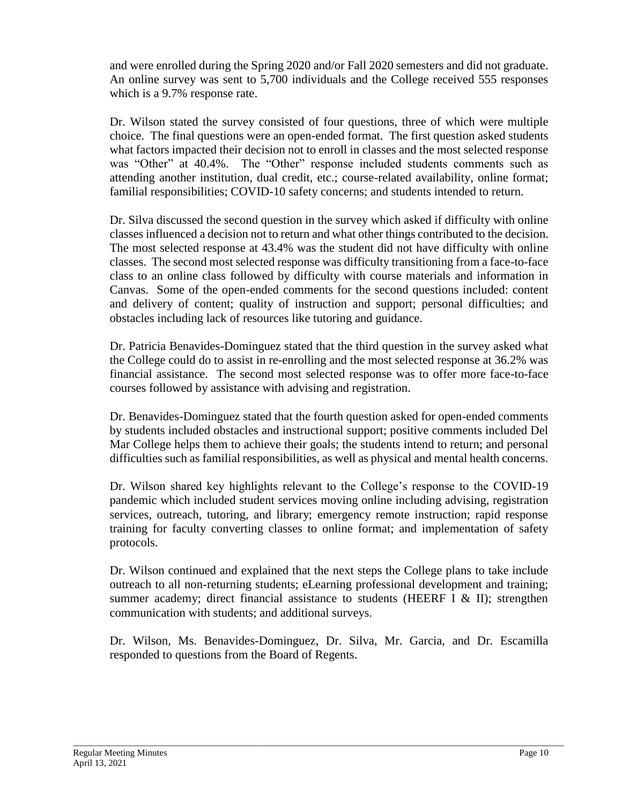and were enrolled during the Spring 2020 and/or Fall 2020 semesters and did not graduate. An online survey was sent to 5,700 individuals and the College received 555 responses which is a 9.7% response rate.

Dr. Wilson stated the survey consisted of four questions, three of which were multiple choice. The final questions were an open-ended format. The first question asked students what factors impacted their decision not to enroll in classes and the most selected response was "Other" at 40.4%. The "Other" response included students comments such as attending another institution, dual credit, etc.; course-related availability, online format; familial responsibilities; COVID-10 safety concerns; and students intended to return.

Dr. Silva discussed the second question in the survey which asked if difficulty with online classes influenced a decision not to return and what other things contributed to the decision. The most selected response at 43.4% was the student did not have difficulty with online classes. The second most selected response was difficulty transitioning from a face-to-face class to an online class followed by difficulty with course materials and information in Canvas. Some of the open-ended comments for the second questions included: content and delivery of content; quality of instruction and support; personal difficulties; and obstacles including lack of resources like tutoring and guidance.

Dr. Patricia Benavides-Dominguez stated that the third question in the survey asked what the College could do to assist in re-enrolling and the most selected response at 36.2% was financial assistance. The second most selected response was to offer more face-to-face courses followed by assistance with advising and registration.

Dr. Benavides-Dominguez stated that the fourth question asked for open-ended comments by students included obstacles and instructional support; positive comments included Del Mar College helps them to achieve their goals; the students intend to return; and personal difficulties such as familial responsibilities, as well as physical and mental health concerns.

Dr. Wilson shared key highlights relevant to the College's response to the COVID-19 pandemic which included student services moving online including advising, registration services, outreach, tutoring, and library; emergency remote instruction; rapid response training for faculty converting classes to online format; and implementation of safety protocols.

Dr. Wilson continued and explained that the next steps the College plans to take include outreach to all non-returning students; eLearning professional development and training; summer academy; direct financial assistance to students (HEERF I  $&$  II); strengthen communication with students; and additional surveys.

Dr. Wilson, Ms. Benavides-Dominguez, Dr. Silva, Mr. Garcia, and Dr. Escamilla responded to questions from the Board of Regents.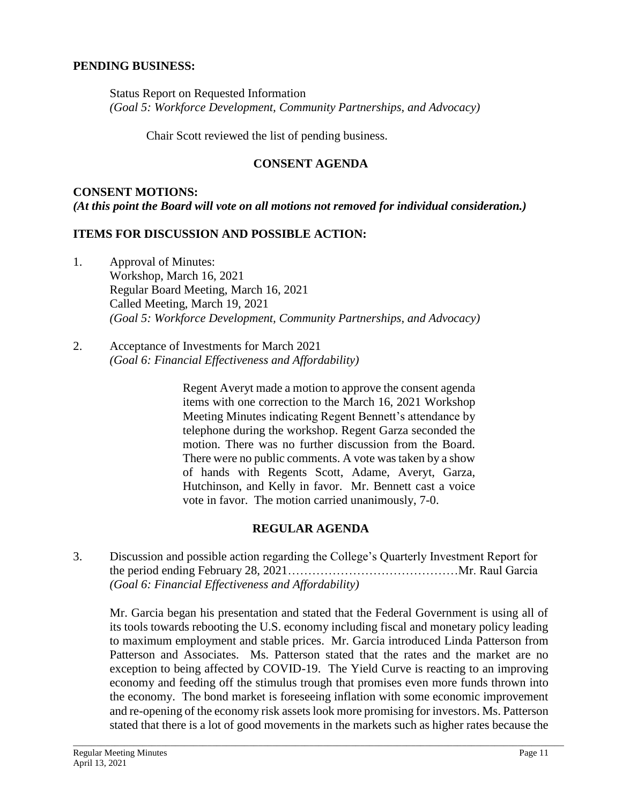#### **PENDING BUSINESS:**

Status Report on Requested Information *(Goal 5: Workforce Development, Community Partnerships, and Advocacy)*

Chair Scott reviewed the list of pending business.

#### **CONSENT AGENDA**

# **CONSENT MOTIONS:** *(At this point the Board will vote on all motions not removed for individual consideration.)*

#### **ITEMS FOR DISCUSSION AND POSSIBLE ACTION:**

- 1. Approval of Minutes: Workshop, March 16, 2021 Regular Board Meeting, March 16, 2021 Called Meeting, March 19, 2021 *(Goal 5: Workforce Development, Community Partnerships, and Advocacy)*
- 2. Acceptance of Investments for March 2021 *(Goal 6: Financial Effectiveness and Affordability)*

Regent Averyt made a motion to approve the consent agenda items with one correction to the March 16, 2021 Workshop Meeting Minutes indicating Regent Bennett's attendance by telephone during the workshop. Regent Garza seconded the motion. There was no further discussion from the Board. There were no public comments. A vote was taken by a show of hands with Regents Scott, Adame, Averyt, Garza, Hutchinson, and Kelly in favor. Mr. Bennett cast a voice vote in favor. The motion carried unanimously, 7-0.

## **REGULAR AGENDA**

3. Discussion and possible action regarding the College's Quarterly Investment Report for the period ending February 28, 2021……………………………………Mr. Raul Garcia *(Goal 6: Financial Effectiveness and Affordability)*

Mr. Garcia began his presentation and stated that the Federal Government is using all of its tools towards rebooting the U.S. economy including fiscal and monetary policy leading to maximum employment and stable prices. Mr. Garcia introduced Linda Patterson from Patterson and Associates. Ms. Patterson stated that the rates and the market are no exception to being affected by COVID-19. The Yield Curve is reacting to an improving economy and feeding off the stimulus trough that promises even more funds thrown into the economy. The bond market is foreseeing inflation with some economic improvement and re-opening of the economy risk assets look more promising for investors. Ms. Patterson stated that there is a lot of good movements in the markets such as higher rates because the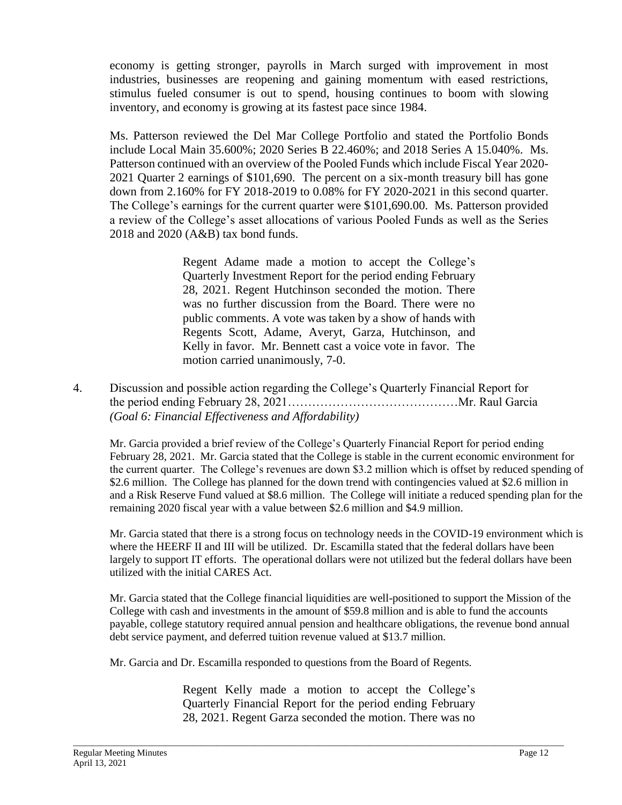economy is getting stronger, payrolls in March surged with improvement in most industries, businesses are reopening and gaining momentum with eased restrictions, stimulus fueled consumer is out to spend, housing continues to boom with slowing inventory, and economy is growing at its fastest pace since 1984.

Ms. Patterson reviewed the Del Mar College Portfolio and stated the Portfolio Bonds include Local Main 35.600%; 2020 Series B 22.460%; and 2018 Series A 15.040%. Ms. Patterson continued with an overview of the Pooled Funds which include Fiscal Year 2020- 2021 Quarter 2 earnings of \$101,690. The percent on a six-month treasury bill has gone down from 2.160% for FY 2018-2019 to 0.08% for FY 2020-2021 in this second quarter. The College's earnings for the current quarter were \$101,690.00. Ms. Patterson provided a review of the College's asset allocations of various Pooled Funds as well as the Series 2018 and 2020 (A&B) tax bond funds.

> Regent Adame made a motion to accept the College's Quarterly Investment Report for the period ending February 28, 2021. Regent Hutchinson seconded the motion. There was no further discussion from the Board. There were no public comments. A vote was taken by a show of hands with Regents Scott, Adame, Averyt, Garza, Hutchinson, and Kelly in favor. Mr. Bennett cast a voice vote in favor. The motion carried unanimously, 7-0.

4. Discussion and possible action regarding the College's Quarterly Financial Report for the period ending February 28, 2021……………………………………Mr. Raul Garcia *(Goal 6: Financial Effectiveness and Affordability)*

Mr. Garcia provided a brief review of the College's Quarterly Financial Report for period ending February 28, 2021. Mr. Garcia stated that the College is stable in the current economic environment for the current quarter. The College's revenues are down \$3.2 million which is offset by reduced spending of \$2.6 million. The College has planned for the down trend with contingencies valued at \$2.6 million in and a Risk Reserve Fund valued at \$8.6 million. The College will initiate a reduced spending plan for the remaining 2020 fiscal year with a value between \$2.6 million and \$4.9 million.

Mr. Garcia stated that there is a strong focus on technology needs in the COVID-19 environment which is where the HEERF II and III will be utilized. Dr. Escamilla stated that the federal dollars have been largely to support IT efforts. The operational dollars were not utilized but the federal dollars have been utilized with the initial CARES Act.

Mr. Garcia stated that the College financial liquidities are well-positioned to support the Mission of the College with cash and investments in the amount of \$59.8 million and is able to fund the accounts payable, college statutory required annual pension and healthcare obligations, the revenue bond annual debt service payment, and deferred tuition revenue valued at \$13.7 million.

Mr. Garcia and Dr. Escamilla responded to questions from the Board of Regents.

Regent Kelly made a motion to accept the College's Quarterly Financial Report for the period ending February 28, 2021. Regent Garza seconded the motion. There was no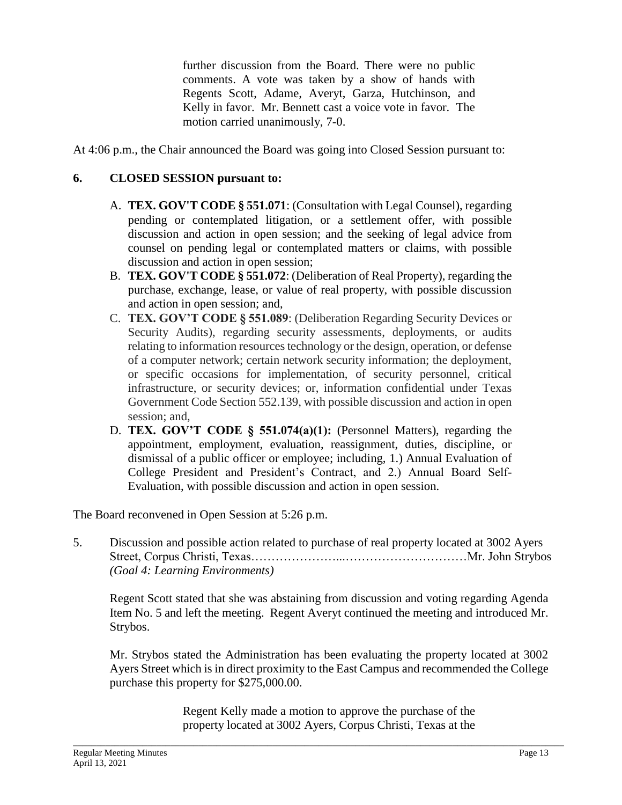further discussion from the Board. There were no public comments. A vote was taken by a show of hands with Regents Scott, Adame, Averyt, Garza, Hutchinson, and Kelly in favor. Mr. Bennett cast a voice vote in favor. The motion carried unanimously, 7-0.

At 4:06 p.m., the Chair announced the Board was going into Closed Session pursuant to:

### **6. CLOSED SESSION pursuant to:**

- A. **TEX. GOV'T CODE § 551.071**: (Consultation with Legal Counsel), regarding pending or contemplated litigation, or a settlement offer, with possible discussion and action in open session; and the seeking of legal advice from counsel on pending legal or contemplated matters or claims, with possible discussion and action in open session;
- B. **TEX. GOV'T CODE § 551.072**: (Deliberation of Real Property), regarding the purchase, exchange, lease, or value of real property, with possible discussion and action in open session; and,
- C. **TEX. GOV'T CODE § 551.089**: (Deliberation Regarding Security Devices or Security Audits), regarding security assessments, deployments, or audits relating to information resources technology or the design, operation, or defense of a computer network; certain network security information; the deployment, or specific occasions for implementation, of security personnel, critical infrastructure, or security devices; or, information confidential under Texas Government Code Section 552.139, with possible discussion and action in open session; and,
- D. **TEX. GOV'T CODE § 551.074(a)(1):** (Personnel Matters), regarding the appointment, employment, evaluation, reassignment, duties, discipline, or dismissal of a public officer or employee; including, 1.) Annual Evaluation of College President and President's Contract, and 2.) Annual Board Self-Evaluation, with possible discussion and action in open session.

The Board reconvened in Open Session at 5:26 p.m.

5. Discussion and possible action related to purchase of real property located at 3002 Ayers Street, Corpus Christi, Texas…………………...…………………………Mr. John Strybos *(Goal 4: Learning Environments)*

Regent Scott stated that she was abstaining from discussion and voting regarding Agenda Item No. 5 and left the meeting. Regent Averyt continued the meeting and introduced Mr. Strybos.

Mr. Strybos stated the Administration has been evaluating the property located at 3002 Ayers Street which is in direct proximity to the East Campus and recommended the College purchase this property for \$275,000.00.

> Regent Kelly made a motion to approve the purchase of the property located at 3002 Ayers, Corpus Christi, Texas at the